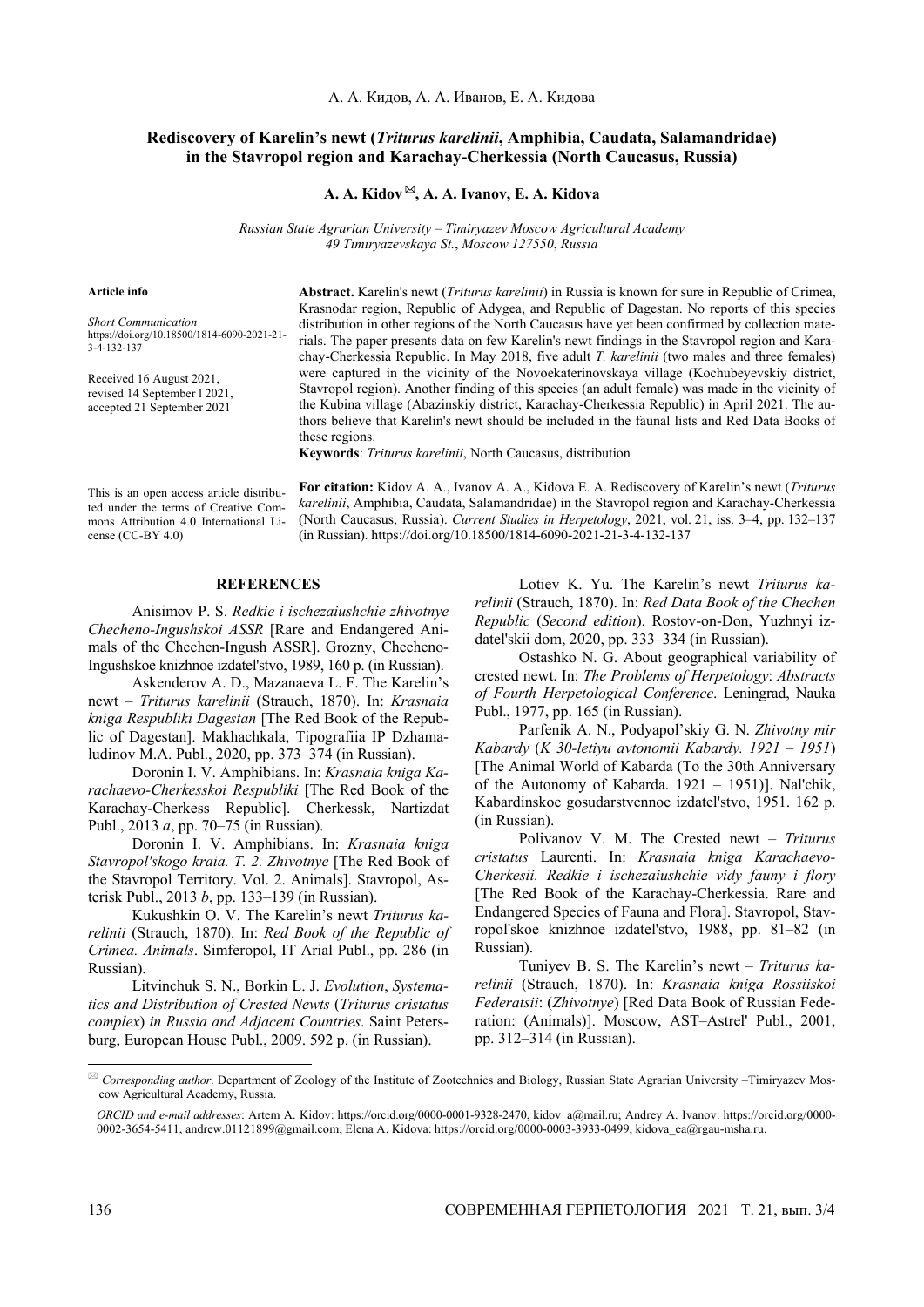## **Rediscovery of Karelin's newt (***Triturus karelinii***, Amphibia, Caudata, Salamandridae) in the Stavropol region and Karachay-Cherkessia (North Caucasus, Russia)**

## **A. A. Kidov , A. A. Ivanov, E. A. Kidova**

*Russian State Agrarian University* – *Timiryazev Moscow Agricultural Academy 49 Timiryazevskaya St.*, *Moscow 127550*, *Russia*

## **Article info**

*Short Communication* https://doi.org/10.18500/1814-6090-2021-21- 3-4-132-137

Received 16 August 2021, revised 14 September l 2021, accepted 21 September 2021 **Abstract.** Karelin's newt (*Triturus karelinii*) in Russia is known for sure in Republic of Crimea, Krasnodar region, Republic of Adygea, and Republic of Dagestan. No reports of this species distribution in other regions of the North Caucasus have yet been confirmed by collection materials. The paper presents data on few Karelin's newt findings in the Stavropol region and Karachay-Cherkessia Republic. In May 2018, five adult *T. karelinii* (two males and three females) were captured in the vicinity of the Novoekaterinovskaya village (Kochubeyevskiy district, Stavropol region). Another finding of this species (an adult female) was made in the vicinity of the Kubina village (Abazinskiy district, Karachay-Cherkessia Republic) in April 2021. The authors believe that Karelin's newt should be included in the faunal lists and Red Data Books of these regions.

**Keywords**: *Triturus karelinii*, North Caucasus, distribution

This is an open access article distributed under the terms of Creative Commons Attribution 4.0 International License (CC-BY 4.0)

**For citation:** Kidov A. A., Ivanov A. A., Kidova E. A. Rediscovery of Karelin's newt (*Triturus karelinii*, Amphibia, Caudata, Salamandridae) in the Stavropol region and Karachay-Cherkessia (North Caucasus, Russia). *Current Studies in Herpetology*, 2021, vol. 21, iss. 3–4, pp. 132–137 (in Russian). https://doi.org/10.18500/1814-6090-2021-21-3-4-132-137

## **REFERENCES**

Anisimov P. S. *Redkie i ischezaiushchie zhivotnye Checheno-Ingushskoi ASSR* [Rare and Endangered Animals of the Chechen-Ingush ASSR]. Grozny, Checheno-Ingushskoe knizhnoe izdatel'stvo, 1989, 160 p. (in Russian).

Askenderov A. D., Mazanaeva L. F. The Karelin's newt – *Triturus karelinii* (Strauch, 1870). In: *Krasnaia kniga Respubliki Dagestan* [The Red Book of the Republic of Dagestan]. Makhachkala, Tipografiia IP Dzhamaludinov M.A. Publ., 2020, pp. 373–374 (in Russian).

Doronin I. V. Amphibians. In: *Krasnaia kniga Karachaevo-Cherkesskoi Respubliki* [The Red Book of the Karachay-Cherkess Republic]. Cherkessk, Nartizdat Publ., 2013 *a*, pp. 70–75 (in Russian).

Doronin I. V. Amphibians. In: *Krasnaia kniga Stavropol'skogo kraia. T. 2. Zhivotnye* [The Red Book of the Stavropol Territory. Vol. 2. Animals]. Stavropol, Asterisk Publ., 2013 *b*, pp. 133–139 (in Russian).

Kukushkin O. V. The Karelin's newt *Triturus karelinii* (Strauch, 1870). In: *Red Book of the Republic of Crimea. Animals*. Simferopol, IT Arial Publ., pp. 286 (in Russian).

Litvinchuk S. N., Borkin L. J. *Evolution*, *Systematics and Distribution of Crested Newts* (*Triturus cristatus complex*) *in Russia and Adjacent Countries*. Saint Petersburg, European House Publ., 2009. 592 p. (in Russian).

Lotiev K. Yu. The Karelin's newt *Triturus karelinii* (Strauch, 1870). In: *Red Data Book of the Chechen Republic* (*Second edition*). Rostov-on-Don, Yuzhnyi izdatel'skii dom, 2020, pp. 333–334 (in Russian).

Ostashko N. G. About geographical variability of crested newt. In: *The Problems of Herpetology*: *Abstracts of Fourth Herpetological Conference*. Leningrad, Nauka Publ., 1977, pp. 165 (in Russian).

Parfenik A. N., Podyapol'skiy G. N. *Zhivotny mir Kabardy* (*K 30-letiyu avtonomii Kabardy. 1921 – 1951*) [The Animal World of Kabarda (To the 30th Anniversary of the Autonomy of Kabarda. 1921 – 1951)]. Nal'chik, Kabardinskoe gosudarstvennoe izdatel'stvo, 1951. 162 p. (in Russian).

Polivanov V. M. The Crested newt – *Triturus cristatus* Laurenti. In: *Krasnaia kniga Karachaevo-Cherkesii. Redkie i ischezaiushchie vidy fauny i flory* [The Red Book of the Karachay-Cherkessia. Rare and Endangered Species of Fauna and Flora]. Stavropol, Stavropol'skoe knizhnoe izdatel'stvo, 1988, pp. 81–82 (in Russian).

Tuniyev B. S. The Karelin's newt – *Triturus karelinii* (Strauch, 1870). In: *Krasnaia kniga Rossiiskoi Federatsii*: (*Zhivotnye*) [Red Data Book of Russian Federation: (Animals)]. Moscow, AST–Astrel' Publ., 2001, pp. 312–314 (in Russian).

l

 *Corresponding author*. Department of Zoology of the Institute of Zootechnics and Biology, Russian State Agrarian University –Timiryazev Moscow Agricultural Academy, Russia.

*ORCID and e-mail addresses*: Artem A. Kidov: https://orcid.org/0000-0001-9328-2470, kidov\_a@mail.ru; Andrey A. Ivanov: https://orcid.org/0000- 0002-3654-5411, andrew.01121899@gmail.com; Elena A. Kidova: https://orcid.org/0000-0003-3933-0499, kidova\_ea@rgau-msha.ru.